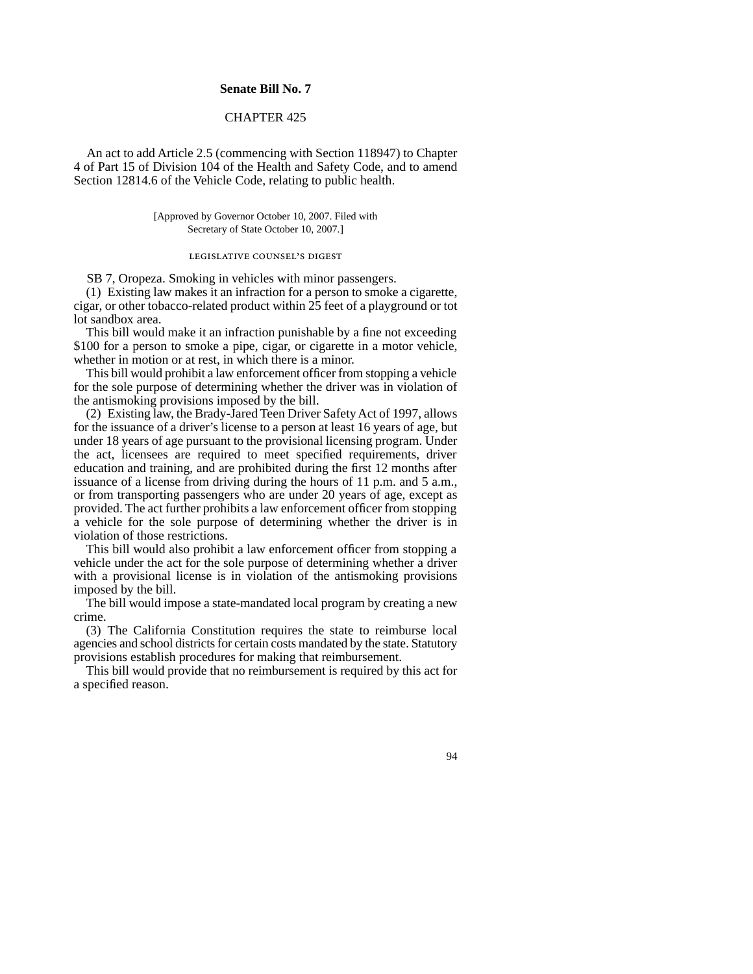## **Senate Bill No. 7**

## CHAPTER 425

An act to add Article 2.5 (commencing with Section 118947) to Chapter 4 of Part 15 of Division 104 of the Health and Safety Code, and to amend Section 12814.6 of the Vehicle Code, relating to public health.

> [Approved by Governor October 10, 2007. Filed with Secretary of State October 10, 2007.]

## legislative counsel's digest

SB 7, Oropeza. Smoking in vehicles with minor passengers.

 (1) Existing law makes it an infraction for a person to smoke a cigarette, cigar, or other tobacco-related product within 25 feet of a playground or tot lot sandbox area.

This bill would make it an infraction punishable by a fne not exceeding \$100 for a person to smoke a pipe, cigar, or cigarette in a motor vehicle, whether in motion or at rest, in which there is a minor.

This bill would prohibit a law enforcement offcer from stopping a vehicle for the sole purpose of determining whether the driver was in violation of the antismoking provisions imposed by the bill.

 (2) Existing law, the Brady-Jared Teen Driver Safety Act of 1997, allows for the issuance of a driver's license to a person at least 16 years of age, but under 18 years of age pursuant to the provisional licensing program. Under the act, licensees are required to meet specifed requirements, driver education and training, and are prohibited during the frst 12 months after issuance of a license from driving during the hours of 11 p.m. and 5 a.m., or from transporting passengers who are under 20 years of age, except as provided. The act further prohibits a law enforcement offcer from stopping a vehicle for the sole purpose of determining whether the driver is in violation of those restrictions.

This bill would also prohibit a law enforcement officer from stopping a vehicle under the act for the sole purpose of determining whether a driver with a provisional license is in violation of the antismoking provisions imposed by the bill.

The bill would impose a state-mandated local program by creating a new crime.

 (3) The California Constitution requires the state to reimburse local agencies and school districts for certain costs mandated by the state. Statutory provisions establish procedures for making that reimbursement.

This bill would provide that no reimbursement is required by this act for a specifed reason.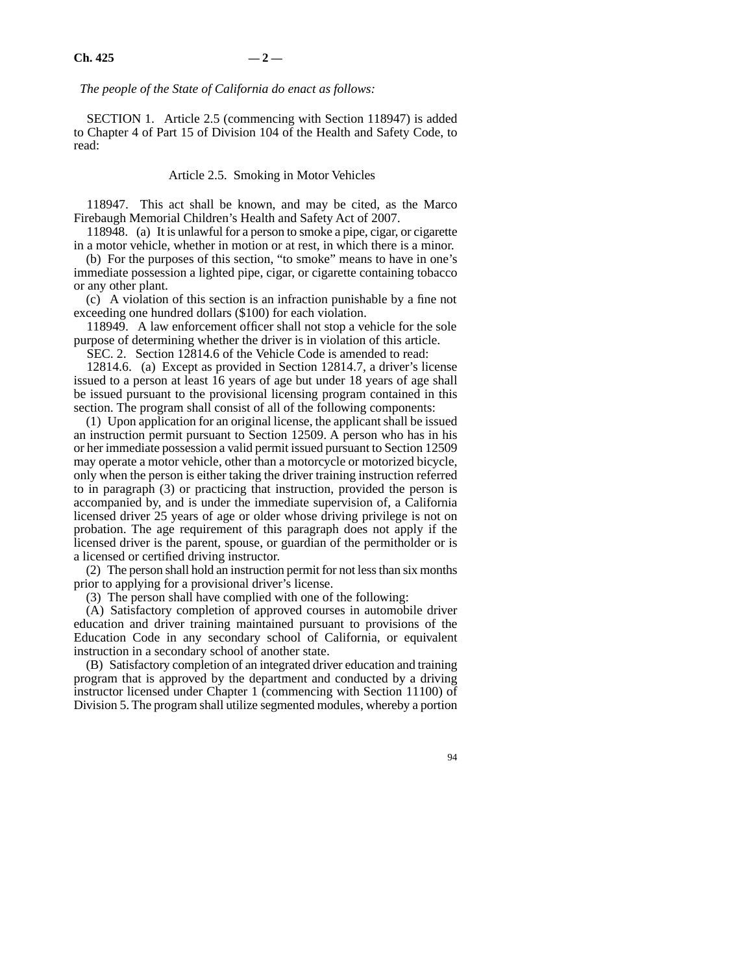*The people of the State of California do enact as follows:* 

SECTION 1. Article 2.5 (commencing with Section 118947) is added to Chapter 4 of Part 15 of Division 104 of the Health and Safety Code, to read:

Article 2.5. Smoking in Motor Vehicles

118947. This act shall be known, and may be cited, as the Marco Firebaugh Memorial Children's Health and Safety Act of 2007.

 118948. (a) It is unlawful for a person to smoke a pipe, cigar, or cigarette in a motor vehicle, whether in motion or at rest, in which there is a minor.

 (b) For the purposes of this section, "to smoke" means to have in one's immediate possession a lighted pipe, cigar, or cigarette containing tobacco or any other plant.

 (c) A violation of this section is an infraction punishable by a fne not exceeding one hundred dollars (\$100) for each violation.

118949. A law enforcement offcer shall not stop a vehicle for the sole purpose of determining whether the driver is in violation of this article.

SEC. 2. Section 12814.6 of the Vehicle Code is amended to read:

 12814.6. (a) Except as provided in Section 12814.7, a driver's license issued to a person at least 16 years of age but under 18 years of age shall be issued pursuant to the provisional licensing program contained in this section. The program shall consist of all of the following components:

 (1) Upon application for an original license, the applicant shall be issued an instruction permit pursuant to Section 12509. A person who has in his or her immediate possession a valid permit issued pursuant to Section 12509 may operate a motor vehicle, other than a motorcycle or motorized bicycle, only when the person is either taking the driver training instruction referred to in paragraph (3) or practicing that instruction, provided the person is accompanied by, and is under the immediate supervision of, a California licensed driver 25 years of age or older whose driving privilege is not on probation. The age requirement of this paragraph does not apply if the licensed driver is the parent, spouse, or guardian of the permitholder or is a licensed or certifed driving instructor.

 (2) The person shall hold an instruction permit for not less than six months prior to applying for a provisional driver's license.

(3) The person shall have complied with one of the following:

 (A) Satisfactory completion of approved courses in automobile driver education and driver training maintained pursuant to provisions of the Education Code in any secondary school of California, or equivalent instruction in a secondary school of another state.

 (B) Satisfactory completion of an integrated driver education and training program that is approved by the department and conducted by a driving instructor licensed under Chapter 1 (commencing with Section 11100) of Division 5. The program shall utilize segmented modules, whereby a portion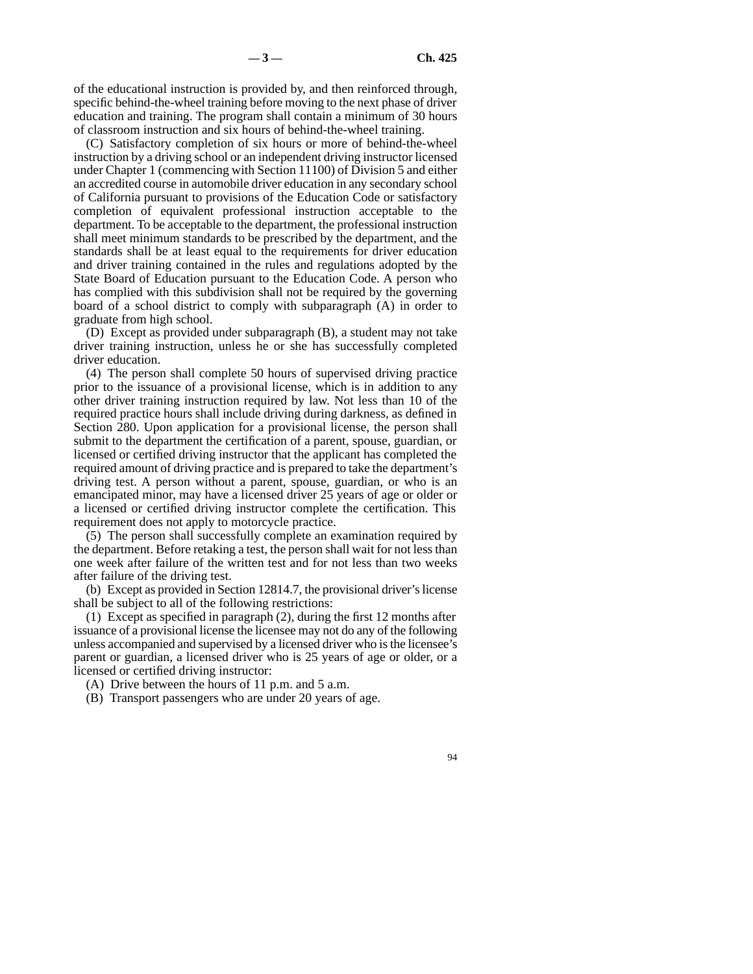of the educational instruction is provided by, and then reinforced through, specifc behind-the-wheel training before moving to the next phase of driver education and training. The program shall contain a minimum of 30 hours of classroom instruction and six hours of behind-the-wheel training.

 (C) Satisfactory completion of six hours or more of behind-the-wheel instruction by a driving school or an independent driving instructor licensed under Chapter 1 (commencing with Section 11100) of Division 5 and either an accredited course in automobile driver education in any secondary school of California pursuant to provisions of the Education Code or satisfactory completion of equivalent professional instruction acceptable to the department. To be acceptable to the department, the professional instruction shall meet minimum standards to be prescribed by the department, and the standards shall be at least equal to the requirements for driver education and driver training contained in the rules and regulations adopted by the State Board of Education pursuant to the Education Code. A person who has complied with this subdivision shall not be required by the governing board of a school district to comply with subparagraph (A) in order to graduate from high school.

 (D) Except as provided under subparagraph (B), a student may not take driver training instruction, unless he or she has successfully completed driver education.

 (4) The person shall complete 50 hours of supervised driving practice prior to the issuance of a provisional license, which is in addition to any other driver training instruction required by law. Not less than 10 of the required practice hours shall include driving during darkness, as defned in Section 280. Upon application for a provisional license, the person shall submit to the department the certifcation of a parent, spouse, guardian, or licensed or certifed driving instructor that the applicant has completed the required amount of driving practice and is prepared to take the department's driving test. A person without a parent, spouse, guardian, or who is an emancipated minor, may have a licensed driver 25 years of age or older or a licensed or certifed driving instructor complete the certifcation. This requirement does not apply to motorcycle practice.

 (5) The person shall successfully complete an examination required by the department. Before retaking a test, the person shall wait for not less than one week after failure of the written test and for not less than two weeks after failure of the driving test.

 (b) Except as provided in Section 12814.7, the provisional driver's license shall be subject to all of the following restrictions:

 (1) Except as specifed in paragraph (2), during the frst 12 months after issuance of a provisional license the licensee may not do any of the following unless accompanied and supervised by a licensed driver who is the licensee's parent or guardian, a licensed driver who is 25 years of age or older, or a licensed or certifed driving instructor:

(A) Drive between the hours of 11 p.m. and 5 a.m.

(B) Transport passengers who are under 20 years of age.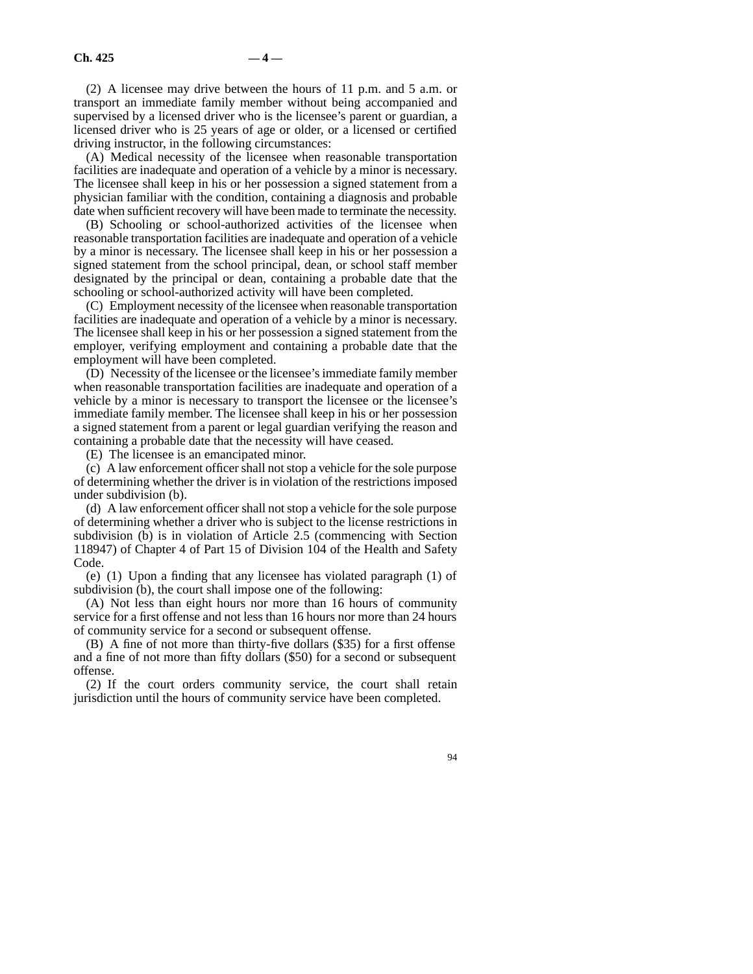(2) A licensee may drive between the hours of 11 p.m. and 5 a.m. or transport an immediate family member without being accompanied and supervised by a licensed driver who is the licensee's parent or guardian, a licensed driver who is 25 years of age or older, or a licensed or certifed driving instructor, in the following circumstances:

 (A) Medical necessity of the licensee when reasonable transportation facilities are inadequate and operation of a vehicle by a minor is necessary. The licensee shall keep in his or her possession a signed statement from a physician familiar with the condition, containing a diagnosis and probable date when sufficient recovery will have been made to terminate the necessity.

 (B) Schooling or school-authorized activities of the licensee when reasonable transportation facilities are inadequate and operation of a vehicle by a minor is necessary. The licensee shall keep in his or her possession a signed statement from the school principal, dean, or school staff member designated by the principal or dean, containing a probable date that the schooling or school-authorized activity will have been completed.

 (C) Employment necessity of the licensee when reasonable transportation facilities are inadequate and operation of a vehicle by a minor is necessary. The licensee shall keep in his or her possession a signed statement from the employer, verifying employment and containing a probable date that the employment will have been completed.

 (D) Necessity of the licensee or the licensee's immediate family member when reasonable transportation facilities are inadequate and operation of a vehicle by a minor is necessary to transport the licensee or the licensee's immediate family member. The licensee shall keep in his or her possession a signed statement from a parent or legal guardian verifying the reason and containing a probable date that the necessity will have ceased.

(E) The licensee is an emancipated minor.

 (c) A law enforcement offcer shall not stop a vehicle for the sole purpose of determining whether the driver is in violation of the restrictions imposed under subdivision (b).

 (d) A law enforcement offcer shall not stop a vehicle for the sole purpose of determining whether a driver who is subject to the license restrictions in subdivision (b) is in violation of Article 2.5 (commencing with Section 118947) of Chapter 4 of Part 15 of Division 104 of the Health and Safety Code.

 (e) (1) Upon a fnding that any licensee has violated paragraph (1) of subdivision (b), the court shall impose one of the following:

 (A) Not less than eight hours nor more than 16 hours of community service for a frst offense and not less than 16 hours nor more than 24 hours of community service for a second or subsequent offense.

 (B) A fne of not more than thirty-fve dollars (\$35) for a frst offense and a fne of not more than ffty dollars (\$50) for a second or subsequent offense.

 (2) If the court orders community service, the court shall retain jurisdiction until the hours of community service have been completed.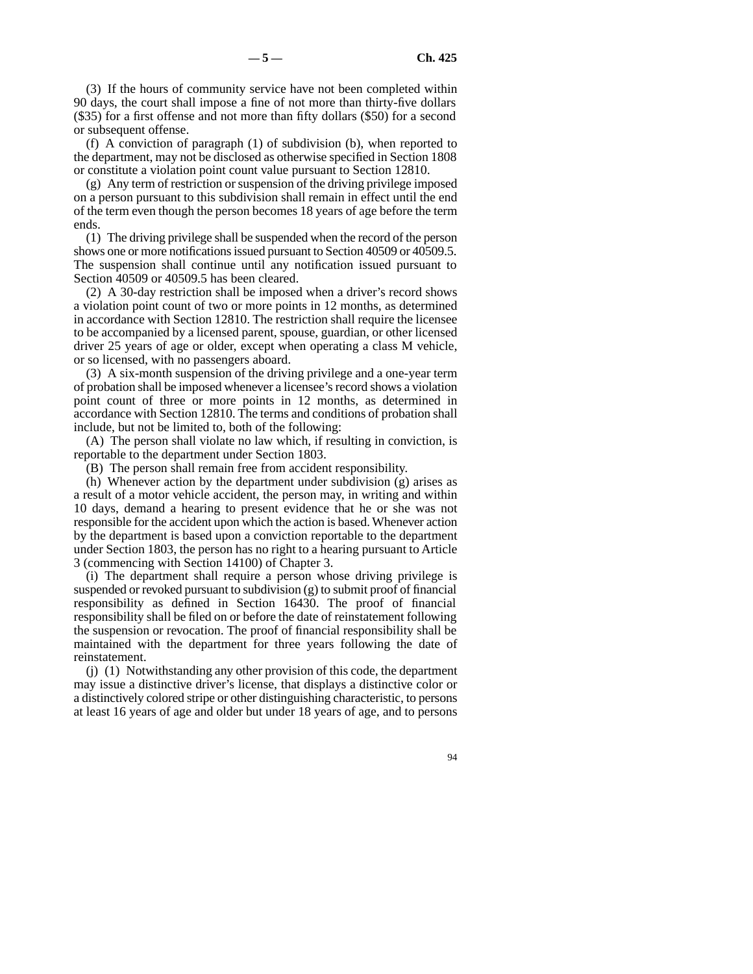(3) If the hours of community service have not been completed within 90 days, the court shall impose a fne of not more than thirty-fve dollars (\$35) for a frst offense and not more than ffty dollars (\$50) for a second or subsequent offense.

 (f) A conviction of paragraph (1) of subdivision (b), when reported to the department, may not be disclosed as otherwise specifed in Section 1808 or constitute a violation point count value pursuant to Section 12810.

 (g) Any term of restriction or suspension of the driving privilege imposed on a person pursuant to this subdivision shall remain in effect until the end of the term even though the person becomes 18 years of age before the term ends.

 (1) The driving privilege shall be suspended when the record of the person shows one or more notifcations issued pursuant to Section 40509 or 40509.5. The suspension shall continue until any notifcation issued pursuant to Section 40509 or 40509.5 has been cleared.

 (2) A 30-day restriction shall be imposed when a driver's record shows a violation point count of two or more points in 12 months, as determined in accordance with Section 12810. The restriction shall require the licensee to be accompanied by a licensed parent, spouse, guardian, or other licensed driver 25 years of age or older, except when operating a class M vehicle, or so licensed, with no passengers aboard.

 (3) A six-month suspension of the driving privilege and a one-year term of probation shall be imposed whenever a licensee's record shows a violation point count of three or more points in 12 months, as determined in accordance with Section 12810. The terms and conditions of probation shall include, but not be limited to, both of the following:

 (A) The person shall violate no law which, if resulting in conviction, is reportable to the department under Section 1803.

(B) The person shall remain free from accident responsibility.

 (h) Whenever action by the department under subdivision (g) arises as a result of a motor vehicle accident, the person may, in writing and within 10 days, demand a hearing to present evidence that he or she was not responsible for the accident upon which the action is based. Whenever action by the department is based upon a conviction reportable to the department under Section 1803, the person has no right to a hearing pursuant to Article 3 (commencing with Section 14100) of Chapter 3.

 (i) The department shall require a person whose driving privilege is suspended or revoked pursuant to subdivision (g) to submit proof of fnancial responsibility as defned in Section 16430. The proof of fnancial responsibility shall be fled on or before the date of reinstatement following the suspension or revocation. The proof of fnancial responsibility shall be maintained with the department for three years following the date of reinstatement.

 (j) (1) Notwithstanding any other provision of this code, the department may issue a distinctive driver's license, that displays a distinctive color or a distinctively colored stripe or other distinguishing characteristic, to persons at least 16 years of age and older but under 18 years of age, and to persons